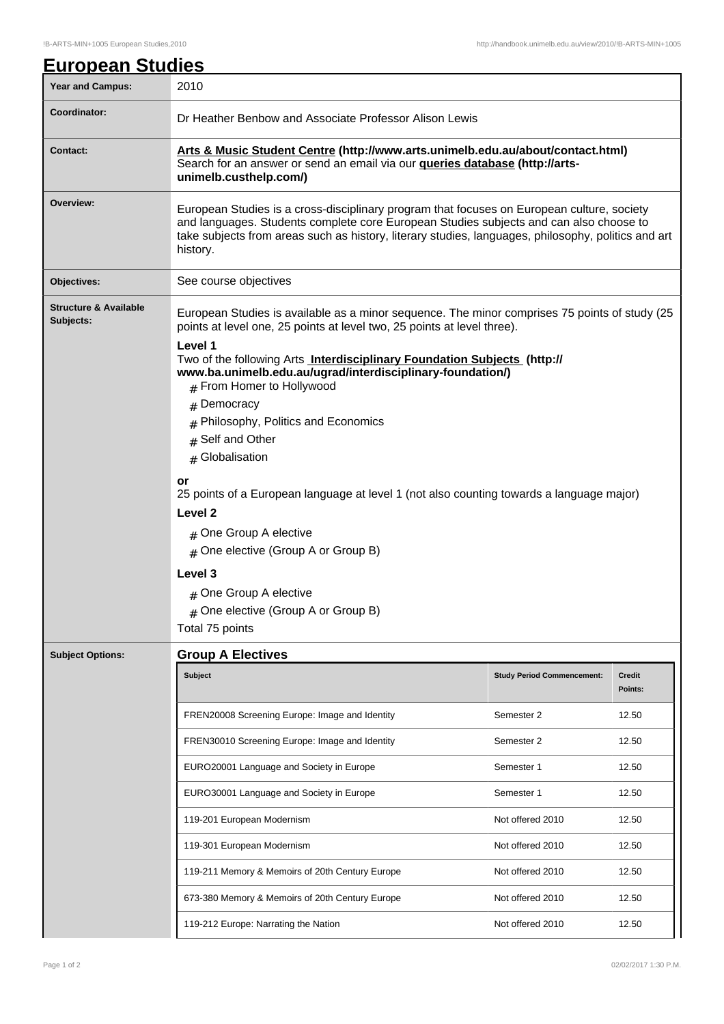| <u>European Studies</u>                       |                                                                                                                                                                                                                                                                                                         |                                   |               |  |
|-----------------------------------------------|---------------------------------------------------------------------------------------------------------------------------------------------------------------------------------------------------------------------------------------------------------------------------------------------------------|-----------------------------------|---------------|--|
| <b>Year and Campus:</b>                       | 2010                                                                                                                                                                                                                                                                                                    |                                   |               |  |
| Coordinator:                                  | Dr Heather Benbow and Associate Professor Alison Lewis                                                                                                                                                                                                                                                  |                                   |               |  |
| <b>Contact:</b>                               | Arts & Music Student Centre (http://www.arts.unimelb.edu.au/about/contact.html)<br>Search for an answer or send an email via our <b>queries database (http://arts-</b><br>unimelb.custhelp.com/)                                                                                                        |                                   |               |  |
| Overview:                                     | European Studies is a cross-disciplinary program that focuses on European culture, society<br>and languages. Students complete core European Studies subjects and can also choose to<br>take subjects from areas such as history, literary studies, languages, philosophy, politics and art<br>history. |                                   |               |  |
| Objectives:                                   | See course objectives                                                                                                                                                                                                                                                                                   |                                   |               |  |
| <b>Structure &amp; Available</b><br>Subjects: | European Studies is available as a minor sequence. The minor comprises 75 points of study (25<br>points at level one, 25 points at level two, 25 points at level three).                                                                                                                                |                                   |               |  |
|                                               | Level 1<br>Two of the following Arts <b>Interdisciplinary Foundation Subjects</b> (http://<br>www.ba.unimelb.edu.au/ugrad/interdisciplinary-foundation/)<br># From Homer to Hollywood                                                                                                                   |                                   |               |  |
|                                               | Democracy<br>#                                                                                                                                                                                                                                                                                          |                                   |               |  |
|                                               | Philosophy, Politics and Economics                                                                                                                                                                                                                                                                      |                                   |               |  |
|                                               | Self and Other<br>#                                                                                                                                                                                                                                                                                     |                                   |               |  |
|                                               | # Globalisation                                                                                                                                                                                                                                                                                         |                                   |               |  |
|                                               | or<br>25 points of a European language at level 1 (not also counting towards a language major)                                                                                                                                                                                                          |                                   |               |  |
|                                               | Level <sub>2</sub>                                                                                                                                                                                                                                                                                      |                                   |               |  |
|                                               | # One Group A elective                                                                                                                                                                                                                                                                                  |                                   |               |  |
|                                               | # One elective (Group A or Group B)<br>Level 3<br># One Group A elective<br># One elective (Group A or Group B)<br>Total 75 points                                                                                                                                                                      |                                   |               |  |
|                                               |                                                                                                                                                                                                                                                                                                         |                                   |               |  |
|                                               |                                                                                                                                                                                                                                                                                                         |                                   |               |  |
|                                               |                                                                                                                                                                                                                                                                                                         |                                   |               |  |
|                                               |                                                                                                                                                                                                                                                                                                         |                                   |               |  |
| <b>Subject Options:</b>                       | <b>Group A Electives</b>                                                                                                                                                                                                                                                                                | <b>Study Period Commencement:</b> | <b>Credit</b> |  |
|                                               | <b>Subject</b>                                                                                                                                                                                                                                                                                          |                                   | Points:       |  |
|                                               | FREN20008 Screening Europe: Image and Identity                                                                                                                                                                                                                                                          | Semester 2                        | 12.50         |  |
|                                               | FREN30010 Screening Europe: Image and Identity                                                                                                                                                                                                                                                          | Semester 2                        | 12.50         |  |
|                                               | EURO20001 Language and Society in Europe                                                                                                                                                                                                                                                                | Semester 1                        | 12.50         |  |
|                                               | EURO30001 Language and Society in Europe                                                                                                                                                                                                                                                                | Semester 1                        | 12.50         |  |
|                                               | 119-201 European Modernism                                                                                                                                                                                                                                                                              | Not offered 2010                  | 12.50         |  |
|                                               | 119-301 European Modernism                                                                                                                                                                                                                                                                              | Not offered 2010                  | 12.50         |  |
|                                               | 119-211 Memory & Memoirs of 20th Century Europe                                                                                                                                                                                                                                                         | Not offered 2010                  | 12.50         |  |
|                                               | 673-380 Memory & Memoirs of 20th Century Europe                                                                                                                                                                                                                                                         | Not offered 2010                  | 12.50         |  |
|                                               | 119-212 Europe: Narrating the Nation                                                                                                                                                                                                                                                                    | Not offered 2010                  | 12.50         |  |

 $\mathbf l$